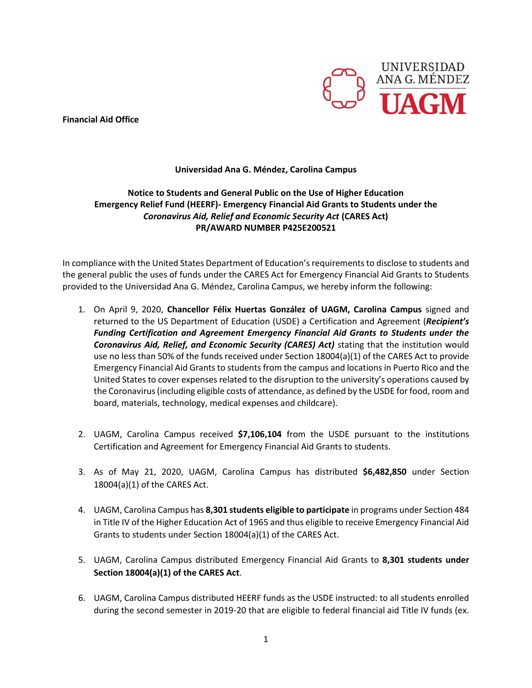**Financial Aid Office**



## **Universidad Ana G. Méndez, Carolina Campus**

## **Notice to Students and General Public on the Use of Higher Education Emergency Relief Fund (HEERF)- Emergency Financial Aid Grants to Students under the**  *Coronavirus Aid, Relief and Economic Security Act* **(CARES Act) PR/AWARD NUMBER P425E200521**

In compliance with the United States Department of Education's requirements to disclose to students and the general public the uses of funds under the CARES Act for Emergency Financial Aid Grants to Students provided to the Universidad Ana G. Méndez, Carolina Campus, we hereby inform the following:

- 1. On April 9, 2020, **Chancellor Félix Huertas González of UAGM, Carolina Campus** signed and returned to the US Department of Education (USDE) a Certification and Agreement (*Recipient's Funding Certification and Agreement Emergency Financial Aid Grants to Students under the Coronavirus Aid, Relief, and Economic Security (CARES) Act)* stating that the institution would use no less than 50% of the funds received under Section 18004(a)(1) of the CARES Act to provide Emergency Financial Aid Grants to students from the campus and locations in Puerto Rico and the United States to cover expenses related to the disruption to the university's operations caused by the Coronavirus (including eligible costs of attendance, as defined by the USDE for food, room and board, materials, technology, medical expenses and childcare).
- 2. UAGM, Carolina Campus received **\$7,106,104** from the USDE pursuant to the institutions Certification and Agreement for Emergency Financial Aid Grants to students.
- 3. As of May 21, 2020, UAGM, Carolina Campus has distributed **\$6,482,850** under Section 18004(a)(1) of the CARES Act.
- 4. UAGM, Carolina Campus has **8,301 students eligible to participate** in programs under Section 484 in Title IV of the Higher Education Act of 1965 and thus eligible to receive Emergency Financial Aid Grants to students under Section 18004(a)(1) of the CARES Act.
- 5. UAGM, Carolina Campus distributed Emergency Financial Aid Grants to **8,301 students under Section 18004(a)(1) of the CARES Act**.
- 6. UAGM, Carolina Campus distributed HEERF funds as the USDE instructed: to all students enrolled during the second semester in 2019-20 that are eligible to federal financial aid Title IV funds (ex.